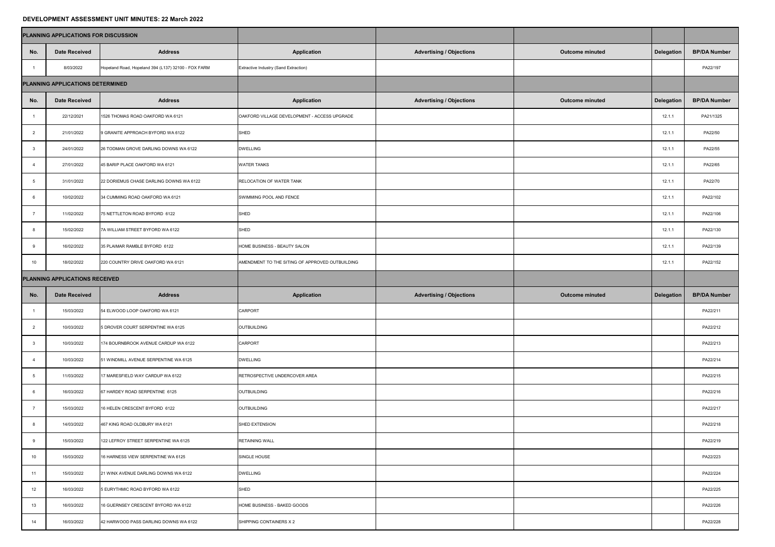## **DEVELOPMENT ASSESSMENT UNIT MINUTES: 22 March 2022**

|                                  | PLANNING APPLICATIONS FOR DISCUSSION |                                                     |                                                 |                                 |                        |                   |                     |
|----------------------------------|--------------------------------------|-----------------------------------------------------|-------------------------------------------------|---------------------------------|------------------------|-------------------|---------------------|
| No.                              | <b>Date Received</b>                 | <b>Address</b>                                      | <b>Application</b>                              | <b>Advertising / Objections</b> | <b>Outcome minuted</b> | <b>Delegation</b> | <b>BP/DA Number</b> |
|                                  | 8/03/2022                            | Hopeland Road, Hopeland 394 (L137) 32100 - FOX FARM | Extractive Industry (Sand Extraction)           |                                 |                        |                   | PA22/197            |
| PLANNING APPLICATIONS DETERMINED |                                      |                                                     |                                                 |                                 |                        |                   |                     |
| No.                              | <b>Date Received</b>                 | <b>Address</b>                                      | <b>Application</b>                              | <b>Advertising / Objections</b> | <b>Outcome minuted</b> | <b>Delegation</b> | <b>BP/DA Number</b> |
|                                  | 22/12/2021                           | 1526 THOMAS ROAD OAKFORD WA 6121                    | OAKFORD VILLAGE DEVELOPMENT - ACCESS UPGRADE    |                                 |                        | 12.1.7            | PA21/1325           |
| $\overline{2}$                   | 21/01/2022                           | 9 GRANITE APPROACH BYFORD WA 6122                   | SHED                                            |                                 |                        | 12.1.1            | PA22/50             |
| $\mathbf{3}$                     | 24/01/2022                           | 26 TODMAN GROVE DARLING DOWNS WA 6122               | <b>DWELLING</b>                                 |                                 |                        | 12.1.1            | PA22/55             |
|                                  | 27/01/2022                           | 45 BARIP PLACE OAKFORD WA 6121                      | <b>WATER TANKS</b>                              |                                 |                        | 12.1.7            | PA22/65             |
| $5\overline{5}$                  | 31/01/2022                           | 22 DORIEMUS CHASE DARLING DOWNS WA 6122             | <b>RELOCATION OF WATER TANK</b>                 |                                 |                        | 12.1.7            | PA22/70             |
| 6                                | 10/02/2022                           | 34 CUMMING ROAD OAKFORD WA 6121                     | SWIMMING POOL AND FENCE                         |                                 |                        | 12.1.1            | PA22/102            |
|                                  | 11/02/2022                           | 75 NETTLETON ROAD BYFORD 6122                       | SHED                                            |                                 |                        | 12.1.1            | PA22/106            |
| 8                                | 15/02/2022                           | 7A WILLIAM STREET BYFORD WA 6122                    | SHED                                            |                                 |                        | 12.1.1            | PA22/130            |
| 9                                | 16/02/2022                           | 35 PLAIMAR RAMBLE BYFORD 6122                       | HOME BUSINESS - BEAUTY SALON                    |                                 |                        | 12.1.1            | PA22/139            |
| 10 <sup>1</sup>                  | 18/02/2022                           | 220 COUNTRY DRIVE OAKFORD WA 6121                   | AMENDMENT TO THE SITING OF APPROVED OUTBUILDING |                                 |                        | 12.1.1            | PA22/152            |
| PLANNING APPLICATIONS RECEIVED   |                                      |                                                     |                                                 |                                 |                        |                   |                     |
| No.                              | <b>Date Received</b>                 | <b>Address</b>                                      | <b>Application</b>                              | <b>Advertising / Objections</b> | <b>Outcome minuted</b> | <b>Delegation</b> | <b>BP/DA Number</b> |
|                                  | 15/03/2022                           | 54 ELWOOD LOOP OAKFORD WA 6121                      | <b>CARPORT</b>                                  |                                 |                        |                   | PA22/211            |
| $\overline{2}$                   | 10/03/2022                           | 5 DROVER COURT SERPENTINE WA 6125                   | OUTBUILDING                                     |                                 |                        |                   | PA22/212            |
| -3                               | 10/03/2022                           | 174 BOURNBROOK AVENUE CARDUP WA 6122                | <b>CARPORT</b>                                  |                                 |                        |                   | PA22/213            |
|                                  | 10/03/2022                           | 51 WINDMILL AVENUE SERPENTINE WA 6125               | <b>DWELLING</b>                                 |                                 |                        |                   | PA22/214            |
| -5                               | 11/03/2022                           | 17 MARESFIELD WAY CARDUP WA 6122                    | RETROSPECTIVE UNDERCOVER AREA                   |                                 |                        |                   | PA22/215            |
| -6                               | 16/03/2022                           |                                                     |                                                 |                                 |                        |                   |                     |
|                                  |                                      | 67 HARDEY ROAD SERPENTINE 6125                      | OUTBUILDING                                     |                                 |                        |                   | PA22/216            |
|                                  | 15/03/2022                           | 16 HELEN CRESCENT BYFORD 6122                       | OUTBUILDING                                     |                                 |                        |                   | PA22/217            |
| 8                                | 14/03/2022                           | 467 KING ROAD OLDBURY WA 6121                       | SHED EXTENSION                                  |                                 |                        |                   | PA22/218            |
| 9                                | 15/03/2022                           | 122 LEFROY STREET SERPENTINE WA 6125                | <b>RETAINING WALL</b>                           |                                 |                        |                   | PA22/219            |
| 10                               | 15/03/2022                           | 16 HARNESS VIEW SERPENTINE WA 6125                  | SINGLE HOUSE                                    |                                 |                        |                   | PA22/223            |
| 11                               | 15/03/2022                           | 21 WINX AVENUE DARLING DOWNS WA 6122                | <b>DWELLING</b>                                 |                                 |                        |                   | PA22/224            |
| 12                               | 16/03/2022                           | 5 EURYTHMIC ROAD BYFORD WA 6122                     | SHED                                            |                                 |                        |                   | PA22/225            |
| 13                               | 16/03/2022                           | 16 GUERNSEY CRESCENT BYFORD WA 6122                 | HOME BUSINESS - BAKED GOODS                     |                                 |                        |                   | PA22/226            |